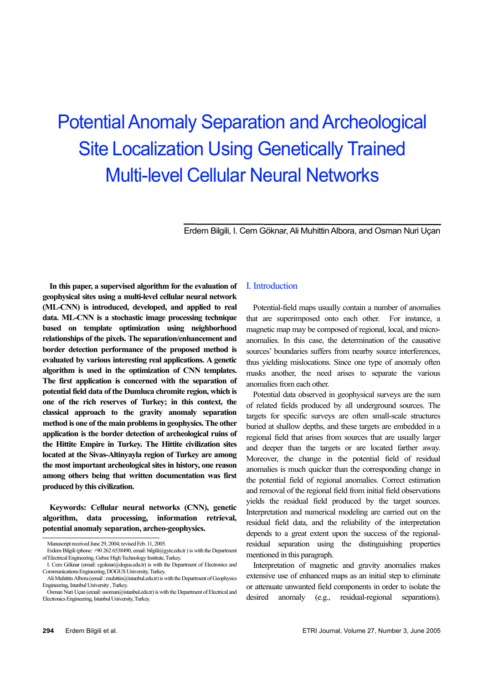# Potential Anomaly Separation and Archeological Site Localization Using Genetically Trained Multi-level Cellular Neural Networks

Erdem Bilgili, I. Cem Göknar, Ali Muhittin Albora, and Osman Nuri Uçan

**In this paper, a supervised algorithm for the evaluation of geophysical sites using a multi-level cellular neural network (ML-CNN) is introduced, developed, and applied to real data. ML-CNN is a stochastic image processing technique based on template optimization using neighborhood relationships of the pixels. The separation/enhancement and border detection performance of the proposed method is evaluated by various interesting real applications. A genetic algorithm is used in the optimization of CNN templates. The first application is concerned with the separation of potential field data of the Dumluca chromite region, which is one of the rich reserves of Turkey; in this context, the classical approach to the gravity anomaly separation method is one of the main problems in geophysics. The other application is the border detection of archeological ruins of the Hittite Empire in Turkey. The Hittite civilization sites located at the Sivas-Altinyayla region of Turkey are among the most important archeological sites in history, one reason among others being that written documentation was first produced by this civilization.** 

**Keywords: Cellular neural networks (CNN), genetic algorithm, data processing, information retrieval, potential anomaly separation, archeo-geophysics.** 

# I. Introduction

Potential-field maps usually contain a number of anomalies that are superimposed onto each other. For instance, a magnetic map may be composed of regional, local, and microanomalies. In this case, the determination of the causative sources' boundaries suffers from nearby source interferences. thus yielding mislocations. Since one type of anomaly often masks another, the need arises to separate the various anomalies from each other.

Potential data observed in geophysical surveys are the sum of related fields produced by all underground sources. The targets for specific surveys are often small-scale structures buried at shallow depths, and these targets are embedded in a regional field that arises from sources that are usually larger and deeper than the targets or are located farther away. Moreover, the change in the potential field of residual anomalies is much quicker than the corresponding change in the potential field of regional anomalies. Correct estimation and removal of the regional field from initial field observations yields the residual field produced by the target sources. Interpretation and numerical modeling are carried out on the residual field data, and the reliability of the interpretation depends to a great extent upon the success of the regionalresidual separation using the distinguishing properties mentioned in this paragraph.

Interpretation of magnetic and gravity anomalies makes extensive use of enhanced maps as an initial step to eliminate or attenuate unwanted field components in order to isolate the desired anomaly (e.g., residual-regional separations).

 $\overline{a}$ 

Manuscript received June 29, 2004; revised Feb. 11, 2005.

Erdem Bilgili (phone: +90 262 6538490, email: bilgili@gyte.edu.tr ) is with the Department of Electrical Engineering, Gebze High Technology Institute, Turkey.

I. Cem Göknar (email: cgoknar@dogus.edu.tr) is with the Department of Electronics and Communications Engineering, DOGUS University, Turkey.

Ali Muhittin Albora (email : muhittin@istanbul.edu.tr) is with the Department of Geophysics Engineering, Istanbul University , Turkey.

Osman Nuri Uçan (email: usoman@istanbul.edu.tr) is with the Department of Electrical and Electronics Engineering, Istanbul University, Turkey.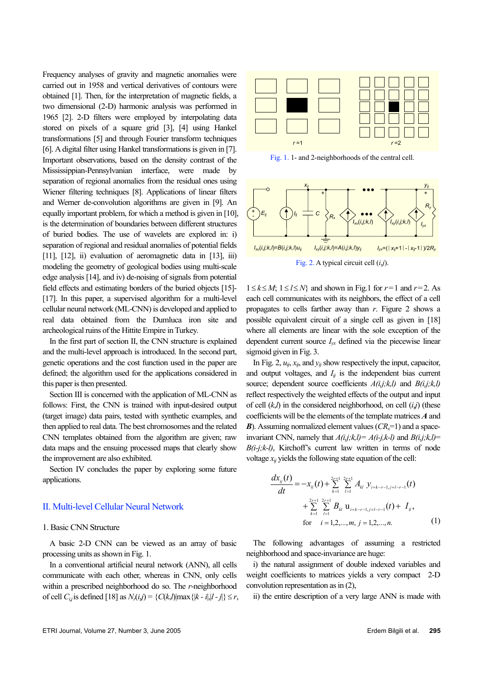Frequency analyses of gravity and magnetic anomalies were carried out in 1958 and vertical derivatives of contours were obtained [1]. Then, for the interpretation of magnetic fields, a two dimensional (2-D) harmonic analysis was performed in 1965 [2]. 2-D filters were employed by interpolating data stored on pixels of a square grid [3], [4] using Hankel transformations [5] and through Fourier transform techniques [6]. A digital filter using Hankel transformations is given in [7]. Important observations, based on the density contrast of the Mississippian-Pennsylvanian interface, were made by separation of regional anomalies from the residual ones using Wiener filtering techniques [8]. Applications of linear filters and Werner de-convolution algorithms are given in [9]. An equally important problem, for which a method is given in [10], is the determination of boundaries between different structures of buried bodies. The use of wavelets are explored in: i) separation of regional and residual anomalies of potential fields [11], [12], ii) evaluation of aeromagnetic data in [13], iii) modeling the geometry of geological bodies using multi-scale edge analysis [14], and iv) de-noising of signals from potential field effects and estimating borders of the buried objects [15]- [17]. In this paper, a supervised algorithm for a multi-level cellular neural network (ML-CNN) is developed and applied to real data obtained from the Dumluca iron site and archeological ruins of the Hittite Empire in Turkey.

In the first part of section II, the CNN structure is explained and the multi-level approach is introduced. In the second part, genetic operations and the cost function used in the paper are defined; the algorithm used for the applications considered in this paper is then presented.

Section III is concerned with the application of ML-CNN as follows: First, the CNN is trained with input-desired output (target image) data pairs, tested with synthetic examples, and then applied to real data. The best chromosomes and the related CNN templates obtained from the algorithm are given; raw data maps and the ensuing processed maps that clearly show the improvement are also exhibited.

Section IV concludes the paper by exploring some future applications.

## II. Multi-level Cellular Neural Network

# 1. Basic CNN Structure

A basic 2-D CNN can be viewed as an array of basic processing units as shown in Fig. 1.

In a conventional artificial neural network (ANN), all cells communicate with each other, whereas in CNN, only cells within a prescribed neighborhood do so. The *r*-neighborhood of cell *C*<sub>*i*</sub>, is defined [18] as  $N_r(i,j) = \{C(k,l)|\max\{|k - i|, |l - j|\} \le r$ ,



Fig. 1. 1- and 2-neighborhoods of the central cell.



1≤ $k$ ≤ $M$ ; 1≤ $l$ ≤ $N$ } and shown in Fig.1 for  $r=1$  and  $r=2$ . As each cell communicates with its neighbors, the effect of a cell propagates to cells farther away than *r*. Figure 2 shows a possible equivalent circuit of a single cell as given in [18] where all elements are linear with the sole exception of the dependent current source  $I_{yx}$  defined via the piecewise linear sigmoid given in Fig. 3.

In Fig. 2,  $u_{ij}$ ,  $x_{ij}$ , and  $y_{ij}$  show respectively the input, capacitor, and output voltages, and  $I_{ij}$  is the independent bias current source; dependent source coefficients *A(i,j;k,l)* and *B(i,j;k,l)* reflect respectively the weighted effects of the output and input of cell (*k*,*l*) in the considered neighborhood, on cell (*i*,*j*) (these coefficients will be the elements of the template matrices *A* and *B*). Assuming normalized element values  $(CR_x=1)$  and a spaceinvariant CNN, namely that  $A(i,j;k,l) = A(i-j,k-l)$  and  $B(i,j;k,l) =$ *B(i-j;k-l)*, Kirchoff's current law written in terms of node voltage  $x_{ij}$  yields the following state equation of the cell:

$$
\frac{dx_{ij}(t)}{dt} = -x_{ij}(t) + \sum_{k=1}^{2r+1} \sum_{l=1}^{2r+1} A_{kl} y_{i+k-r-1,j+l-r-1}(t) + \sum_{k=1}^{2r+1} \sum_{l=1}^{2r+1} B_{kl} u_{i+k-r-1,j+l-r-1}(t) + I_{ij},
$$
\nfor  $i = 1, 2, ..., m, j = 1, 2, ..., n$ . (1)

The following advantages of assuming a restricted neighborhood and space-invariance are huge:

i) the natural assignment of double indexed variables and weight coefficients to matrices yields a very compact 2-D convolution representation as in (2),

ii) the entire description of a very large ANN is made with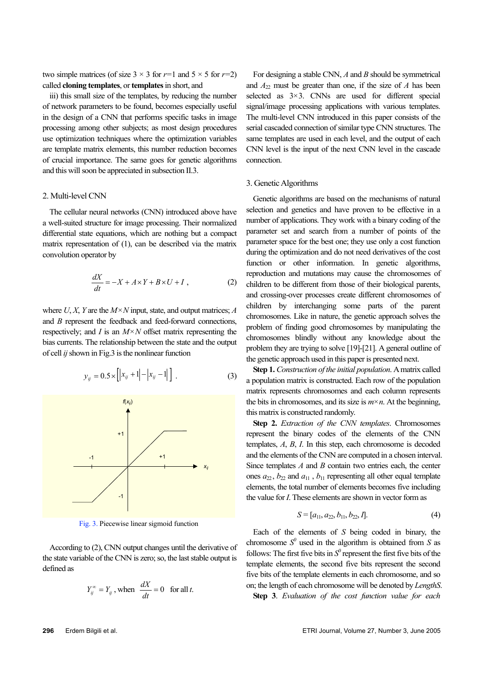two simple matrices (of size  $3 \times 3$  for  $r=1$  and  $5 \times 5$  for  $r=2$ ) called **cloning templates**, or **templates** in short, and

iii) this small size of the templates, by reducing the number of network parameters to be found, becomes especially useful in the design of a CNN that performs specific tasks in image processing among other subjects; as most design procedures use optimization techniques where the optimization variables are template matrix elements, this number reduction becomes of crucial importance. The same goes for genetic algorithms and this will soon be appreciated in subsection II.3.

## 2. Multi-level CNN

The cellular neural networks (CNN) introduced above have a well-suited structure for image processing. Their normalized differential state equations, which are nothing but a compact matrix representation of (1), can be described via the matrix convolution operator by

$$
\frac{dX}{dt} = -X + A \times Y + B \times U + I \tag{2}
$$

where *U*, *X*, *Y* are the *M*×*N* input, state, and output matrices; *A* and *B* represent the feedback and feed-forward connections, respectively; and *I* is an  $M \times N$  offset matrix representing the bias currents. The relationship between the state and the output of cell *ij* shown in Fig.3 is the nonlinear function



Fig. 3. Piecewise linear sigmoid function

According to (2), CNN output changes until the derivative of the state variable of the CNN is zero; so, the last stable output is defined as

$$
Y_{ij}^{\infty} = Y_{ij}
$$
, when  $\frac{dX}{dt} = 0$  for all *t*.

For designing a stable CNN, *A* and *B* should be symmetrical and  $A_{22}$  must be greater than one, if the size of *A* has been selected as  $3\times3$ . CNNs are used for different special signal/image processing applications with various templates. The multi-level CNN introduced in this paper consists of the serial cascaded connection of similar type CNN structures. The same templates are used in each level, and the output of each CNN level is the input of the next CNN level in the cascade connection.

## 3. Genetic Algorithms

Genetic algorithms are based on the mechanisms of natural selection and genetics and have proven to be effective in a number of applications. They work with a binary coding of the parameter set and search from a number of points of the parameter space for the best one; they use only a cost function during the optimization and do not need derivatives of the cost function or other information. In genetic algorithms, reproduction and mutations may cause the chromosomes of children to be different from those of their biological parents, and crossing-over processes create different chromosomes of children by interchanging some parts of the parent chromosomes. Like in nature, the genetic approach solves the problem of finding good chromosomes by manipulating the chromosomes blindly without any knowledge about the problem they are trying to solve [19]-[21]. A general outline of the genetic approach used in this paper is presented next.

**Step 1.** *Construction of the initial population*. A matrix called a population matrix is constructed. Each row of the population matrix represents chromosomes and each column represents the bits in chromosomes, and its size is  $m \times n$ . At the beginning, this matrix is constructed randomly.

**Step 2.** *Extraction of the CNN templates*. Chromosomes represent the binary codes of the elements of the CNN templates, *A*, *B*, *I*. In this step, each chromosome is decoded and the elements of the CNN are computed in a chosen interval. Since templates *A* and *B* contain two entries each, the center ones  $a_{22}$ ,  $b_{22}$  and  $a_{11}$ ,  $b_{11}$  representing all other equal template elements, the total number of elements becomes five including the value for *I*. These elements are shown in vector form as

$$
S = [a_{11}, a_{22}, b_{11}, b_{22}, I]. \tag{4}
$$

Each of the elements of *S* being coded in binary, the chromosome  $S^0$  used in the algorithm is obtained from  $S$  as follows: The first five bits in  $S^0$  represent the first five bits of the template elements, the second five bits represent the second five bits of the template elements in each chromosome, and so on; the length of each chromosome will be denoted by *LengthS*. **Step 3**. *Evaluation of the cost function value for each*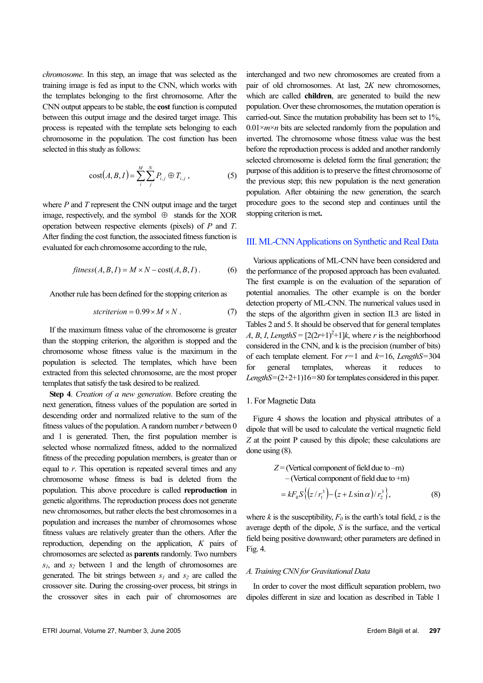*chromosome*. In this step, an image that was selected as the training image is fed as input to the CNN, which works with the templates belonging to the first chromosome. After the CNN output appears to be stable, the **cost** function is computed between this output image and the desired target image. This process is repeated with the template sets belonging to each chromosome in the population. The cost function has been selected in this study as follows:

$$
cost(A, B, I) = \sum_{i}^{M} \sum_{j}^{N} P_{i,j} \oplus T_{i,j},
$$
 (5)

where *P* and *T* represent the CNN output image and the target image, respectively, and the symbol  $\oplus$  stands for the XOR operation between respective elements (pixels) of *P* and *T*. After finding the cost function, the associated fitness function is evaluated for each chromosome according to the rule,

$$
fitness(A, B, I) = M \times N - cost(A, B, I).
$$
 (6)

Another rule has been defined for the stopping criterion as

$$
st criterion = 0.99 \times M \times N . \tag{7}
$$

If the maximum fitness value of the chromosome is greater than the stopping criterion, the algorithm is stopped and the chromosome whose fitness value is the maximum in the population is selected. The templates, which have been extracted from this selected chromosome, are the most proper templates that satisfy the task desired to be realized.

**Step 4**. *Creation of a new generation*. Before creating the next generation, fitness values of the population are sorted in descending order and normalized relative to the sum of the fitness values of the population. A random number *r* between 0 and 1 is generated. Then, the first population member is selected whose normalized fitness, added to the normalized fitness of the preceding population members, is greater than or equal to *r*. This operation is repeated several times and any chromosome whose fitness is bad is deleted from the population. This above procedure is called **reproduction** in genetic algorithms. The reproduction process does not generate new chromosomes, but rather elects the best chromosomes in a population and increases the number of chromosomes whose fitness values are relatively greater than the others. After the reproduction, depending on the application, *K* pairs of chromosomes are selected as **parents** randomly. Two numbers  $s_1$ , and  $s_2$  between 1 and the length of chromosomes are generated. The bit strings between  $s_1$  and  $s_2$  are called the crossover site. During the crossing-over process, bit strings in the crossover sites in each pair of chromosomes are

interchanged and two new chromosomes are created from a pair of old chromosomes. At last, 2*K* new chromosomes, which are called **children**, are generated to build the new population. Over these chromosomes, the mutation operation is carried-out. Since the mutation probability has been set to 1%,  $0.01 \times m \times n$  bits are selected randomly from the population and inverted. The chromosome whose fitness value was the best before the reproduction process is added and another randomly selected chromosome is deleted form the final generation; the purpose of this addition is to preserve the fittest chromosome of the previous step; this new population is the next generation population. After obtaining the new generation, the search procedure goes to the second step and continues until the stopping criterion is met**.** 

#### III. ML-CNN Applications on Synthetic and Real Data

Various applications of ML-CNN have been considered and the performance of the proposed approach has been evaluated. The first example is on the evaluation of the separation of potential anomalies. The other example is on the border detection property of ML-CNN. The numerical values used in the steps of the algorithm given in section II.3 are listed in Tables 2 and 5. It should be observed that for general templates  $A, B, I, LengthS = [2(2r+1)^{2}+1]k$ , where *r* is the neighborhood considered in the CNN, and k is the precision (number of bits) of each template element. For *r*=1 and *k*=16, *LengthS*=304 for general templates, whereas it reduces to *LengthS*=(2+2+1)16=80 for templates considered in this paper.

#### 1. For Magnetic Data

Figure 4 shows the location and physical attributes of a dipole that will be used to calculate the vertical magnetic field *Z* at the point P caused by this dipole; these calculations are done using (8).

$$
Z = (Vertical component of field due to -m)
$$
  
– (Vertical component of field due to +m)  

$$
= kF_0 S\{ (z/r_1^3) - (z + L\sin\alpha)/r_2^3 \},
$$
(8)

where *k* is the susceptibility,  $F_0$  is the earth's total field, *z* is the average depth of the dipole, *S* is the surface, and the vertical field being positive downward; other parameters are defined in Fig. 4.

# *A. Training CNN for Gravitational Data*

In order to cover the most difficult separation problem, two dipoles different in size and location as described in Table 1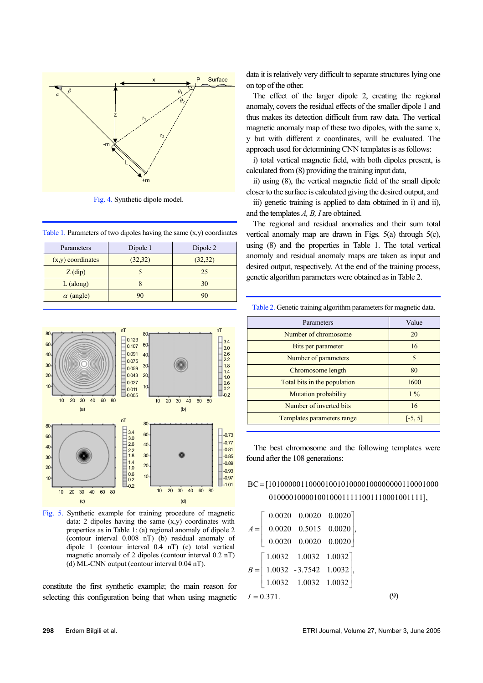

Fig. 4. Synthetic dipole model.

Table 1. Parameters of two dipoles having the same  $(x,y)$  coordinates

| Parameters          | Dipole 1 | Dipole 2 |
|---------------------|----------|----------|
| $(x,y)$ coordinates | (32, 32) | (32, 32) |
| $Z$ (dip)           |          | 25       |
| $L$ (along)         |          | 30       |
| $\alpha$ (angle)    |          | 90       |



Fig. 5. Synthetic example for training procedure of magnetic data: 2 dipoles having the same  $(x,y)$  coordinates with properties as in Table 1: (a) regional anomaly of dipole 2 (contour interval 0.008 nT) (b) residual anomaly of dipole 1 (contour interval 0.4 nT) (c) total vertical magnetic anomaly of 2 dipoles (contour interval 0.2 nT) (d) ML-CNN output (contour interval 0.04 nT).

constitute the first synthetic example; the main reason for selecting this configuration being that when using magnetic data it is relatively very difficult to separate structures lying one on top of the other.

The effect of the larger dipole 2, creating the regional anomaly, covers the residual effects of the smaller dipole 1 and thus makes its detection difficult from raw data. The vertical magnetic anomaly map of these two dipoles, with the same x, y but with different z coordinates, will be evaluated. The approach used for determining CNN templates is as follows:

i) total vertical magnetic field, with both dipoles present, is calculated from (8) providing the training input data,

ii) using (8), the vertical magnetic field of the small dipole closer to the surface is calculated giving the desired output, and

iii) genetic training is applied to data obtained in i) and ii), and the templates *A, B, I* are obtained.

The regional and residual anomalies and their sum total vertical anomaly map are drawn in Figs. 5(a) through 5(c), using (8) and the properties in Table 1. The total vertical anomaly and residual anomaly maps are taken as input and desired output, respectively. At the end of the training process, genetic algorithm parameters were obtained as in Table 2.

| Parameters                   | Value     |
|------------------------------|-----------|
| Number of chromosome         | 20        |
| Bits per parameter           | 16        |
| Number of parameters         | 5         |
| Chromosome length            | 80        |
| Total bits in the population | 1600      |
| <b>Mutation probability</b>  | $1\%$     |
| Number of inverted bits      | 16        |
| Templates parameters range   | $[-5, 5]$ |

Table 2. Genetic training algorithm parameters for magnetic data.

 The best chromosome and the following templates were found after the 108 generations:

# 01000010000100100011111001110001001111], BC =[101000001100001001010000100000000110001000

|             |                                                                                       | $0.0020$ $0.0020$ $0.0020$ |                                    |  |
|-------------|---------------------------------------------------------------------------------------|----------------------------|------------------------------------|--|
|             | $0.0020$ 0.5015 0.0020                                                                |                            |                                    |  |
|             |                                                                                       |                            | $0.0020 \quad 0.0020 \quad 0.0020$ |  |
|             |                                                                                       |                            |                                    |  |
|             | $\begin{bmatrix} 1.0032 & 1.0032 & 1.0032 \\ 1.0032 & -3.7542 & 1.0032 \end{bmatrix}$ |                            |                                    |  |
|             | $\begin{vmatrix} 1.0032 & 1.0032 & 1.0032 \end{vmatrix}$                              |                            |                                    |  |
| $I = 0.371$ |                                                                                       |                            |                                    |  |

(9)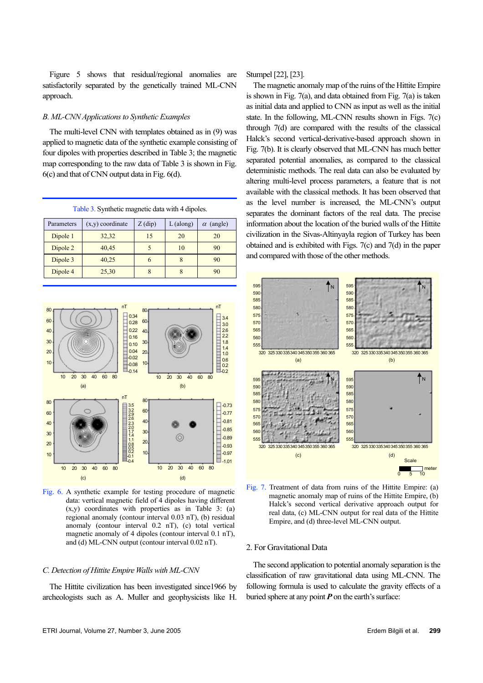Figure 5 shows that residual/regional anomalies are satisfactorily separated by the genetically trained ML-CNN approach.

#### *B. ML-CNN Applications to Synthetic Examples*

The multi-level CNN with templates obtained as in (9) was applied to magnetic data of the synthetic example consisting of four dipoles with properties described in Table 3; the magnetic map corresponding to the raw data of Table 3 is shown in Fig. 6(c) and that of CNN output data in Fig. 6(d).

Table 3. Synthetic magnetic data with 4 dipoles.

| Parameters | $(x,y)$ coordinate | $Z$ (dip) | $L$ (along) | $\alpha$ (angle) |
|------------|--------------------|-----------|-------------|------------------|
| Dipole 1   | 32,32              |           | 20          | 20               |
| Dipole 2   | 40,45              |           | 10          | 90               |
| Dipole 3   | 40,25              | o         |             | 90               |
| Dipole 4   | 25,30              |           |             | 90               |



Fig. 6. A synthetic example for testing procedure of magnetic data: vertical magnetic field of 4 dipoles having different (x,y) coordinates with properties as in Table 3: (a) regional anomaly (contour interval 0.03 nT), (b) residual anomaly (contour interval 0.2 nT), (c) total vertical magnetic anomaly of 4 dipoles (contour interval 0.1 nT), and (d) ML-CNN output (contour interval 0.02 nT).

#### *C. Detection of Hittite Empire Walls with ML-CNN*

The Hittite civilization has been investigated since1966 by archeologists such as A. Muller and geophysicists like H.

Stumpel [22], [23].

The magnetic anomaly map of the ruins of the Hittite Empire is shown in Fig. 7(a), and data obtained from Fig. 7(a) is taken as initial data and applied to CNN as input as well as the initial state. In the following, ML-CNN results shown in Figs. 7(c) through 7(d) are compared with the results of the classical Halck's second vertical-derivative-based approach shown in Fig. 7(b). It is clearly observed that ML-CNN has much better separated potential anomalies, as compared to the classical deterministic methods. The real data can also be evaluated by altering multi-level process parameters, a feature that is not available with the classical methods. It has been observed that as the level number is increased, the ML-CNN's output separates the dominant factors of the real data. The precise information about the location of the buried walls of the Hittite civilization in the Sivas-Altinyayla region of Turkey has been obtained and is exhibited with Figs. 7(c) and 7(d) in the paper and compared with those of the other methods.



Fig. 7. Treatment of data from ruins of the Hittite Empire: (a) magnetic anomaly map of ruins of the Hittite Empire, (b) Halck's second vertical derivative approach output for real data, (c) ML-CNN output for real data of the Hittite Empire, and (d) three-level ML-CNN output.

# 2. For Gravitational Data

The second application to potential anomaly separation is the classification of raw gravitational data using ML-CNN. The following formula is used to calculate the gravity effects of a buried sphere at any point  $P$  on the earth's surface: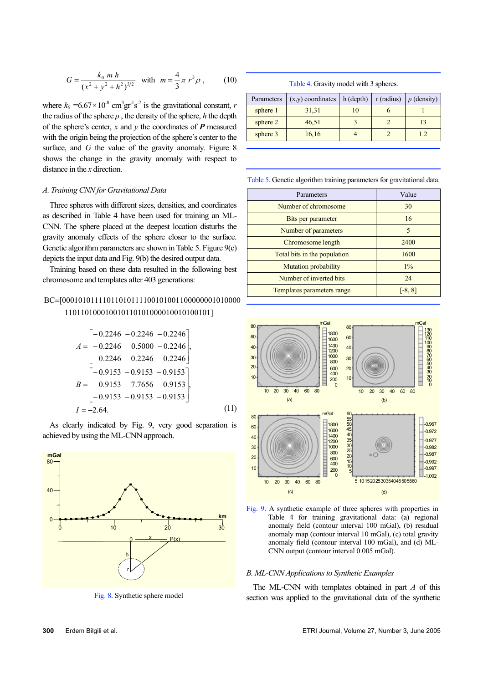$$
G = \frac{k_0 m h}{(x^2 + y^2 + h^2)^{3/2}} \quad \text{with} \quad m = \frac{4}{3} \pi r^3 \rho \,, \tag{10}
$$

where  $k_0 = 6.67 \times 10^{-8}$  cm<sup>3</sup>gr<sup>-1</sup>s<sup>-2</sup> is the gravitational constant, *r* the radius of the sphere  $\rho$ , the density of the sphere,  $h$  the depth of the sphere's center,  $x$  and  $y$  the coordinates of  $P$  measured with the origin being the projection of the sphere's center to the surface, and *G* the value of the gravity anomaly. Figure 8 shows the change in the gravity anomaly with respect to distance in the *x* direction.

# *A. Training CNN for Gravitational Data*

Three spheres with different sizes, densities, and coordinates as described in Table 4 have been used for training an ML-CNN. The sphere placed at the deepest location disturbs the gravity anomaly effects of the sphere closer to the surface. Genetic algorithm parameters are shown in Table 5. Figure 9(c) depicts the input data and Fig. 9(b) the desired output data.

Training based on these data resulted in the following best chromosome and templates after 403 generations:

# 110110100010010110101000010010100101] BC=[00010101111011010111100101001100000001010000

$$
A = \begin{bmatrix} -0.2246 & -0.2246 & -0.2246 \\ -0.2246 & 0.5000 & -0.2246 \\ -0.2246 & -0.2246 & -0.2246 \end{bmatrix},
$$
  
\n
$$
B = \begin{bmatrix} -0.9153 & -0.9153 & -0.9153 \\ -0.9153 & 7.7656 & -0.9153 \\ -0.9153 & -0.9153 & -0.9153 \end{bmatrix},
$$
  
\n
$$
I = -2.64.
$$
 (11)

As clearly indicated by Fig. 9, very good separation is achieved by using the ML-CNN approach.



Fig. 8. Synthetic sphere model

#### Table 4. Gravity model with 3 spheres.

| Parameters | $(x,y)$ coordinates $\vert$ h (depth) |    | $r$ (radius) | $\rho$ (density) |
|------------|---------------------------------------|----|--------------|------------------|
| sphere 1   | 31,31                                 | 10 |              |                  |
| sphere 2   | 46,51                                 |    |              | 13               |
| sphere 3   | 16,16                                 |    |              | 12               |

Table 5. Genetic algorithm training parameters for gravitational data.

| Parameters                   | Value     |
|------------------------------|-----------|
| Number of chromosome         | 30        |
| Bits per parameter           | 16        |
| Number of parameters         | 5         |
| Chromosome length            | 2400      |
| Total bits in the population | 1600      |
| Mutation probability         | $1\%$     |
| Number of inverted bits      | 24        |
| Templates parameters range   | $[-8, 8]$ |



Fig. 9. A synthetic example of three spheres with properties in Table 4 for training gravitational data: (a) regional anomaly field (contour interval 100 mGal), (b) residual anomaly map (contour interval 10 mGal), (c) total gravity anomaly field (contour interval 100 mGal), and (d) ML-CNN output (contour interval 0.005 mGal).

# *B. ML-CNN Applications to Synthetic Examples*

The ML-CNN with templates obtained in part *A* of this section was applied to the gravitational data of the synthetic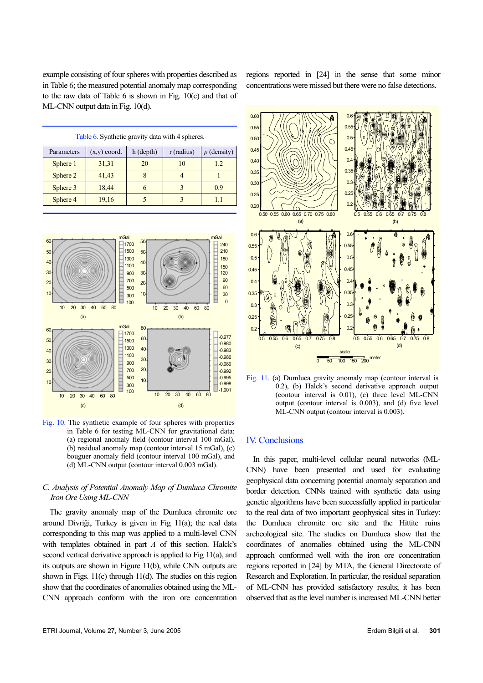example consisting of four spheres with properties described as in Table 6; the measured potential anomaly map corresponding to the raw data of Table 6 is shown in Fig. 10(c) and that of ML-CNN output data in Fig. 10(d).

regions reported in [24] in the sense that some minor concentrations were missed but there were no false detections.

| Table 6. Synthetic gravity data with 4 spheres. |  |
|-------------------------------------------------|--|
|-------------------------------------------------|--|

| Parameters | $(x,y)$ coord. | h (depth) | $r$ (radius) | $\rho$ (density) |
|------------|----------------|-----------|--------------|------------------|
| Sphere 1   | 31,31          | 20        | 10           | 1.2              |
| Sphere 2   | 41,43          |           |              |                  |
| Sphere 3   | 18,44          |           |              | 0.9              |
| Sphere 4   | 19,16          |           |              |                  |



Fig. 10. The synthetic example of four spheres with properties in Table 6 for testing ML-CNN for gravitational data: (a) regional anomaly field (contour interval 100 mGal), (b) residual anomaly map (contour interval 15 mGal), (c) bouguer anomaly field (contour interval 100 mGal), and (d) ML-CNN output (contour interval 0.003 mGal).

## *C. Analysis of Potential Anomaly Map of Dumluca Chromite Iron Ore Using ML-CNN*

The gravity anomaly map of the Dumluca chromite ore around Divriği, Turkey is given in Fig 11(a); the real data corresponding to this map was applied to a multi-level CNN with templates obtained in part *A* of this section. Halck's second vertical derivative approach is applied to Fig 11(a), and its outputs are shown in Figure 11(b), while CNN outputs are shown in Figs. 11(c) through 11(d). The studies on this region show that the coordinates of anomalies obtained using the ML-CNN approach conform with the iron ore concentration



Fig. 11. (a) Dumluca gravity anomaly map (contour interval is 0.2), (b) Halck's second derivative approach output (contour interval is 0.01), (c) three level ML-CNN output (contour interval is 0.003), and (d) five level ML-CNN output (contour interval is 0.003).

# IV. Conclusions

In this paper, multi-level cellular neural networks (ML-CNN) have been presented and used for evaluating geophysical data concerning potential anomaly separation and border detection. CNNs trained with synthetic data using genetic algorithms have been successfully applied in particular to the real data of two important geophysical sites in Turkey: the Dumluca chromite ore site and the Hittite ruins archeological site. The studies on Dumluca show that the coordinates of anomalies obtained using the ML-CNN approach conformed well with the iron ore concentration regions reported in [24] by MTA, the General Directorate of Research and Exploration. In particular, the residual separation of ML-CNN has provided satisfactory results; it has been observed that as the level number is increased ML-CNN better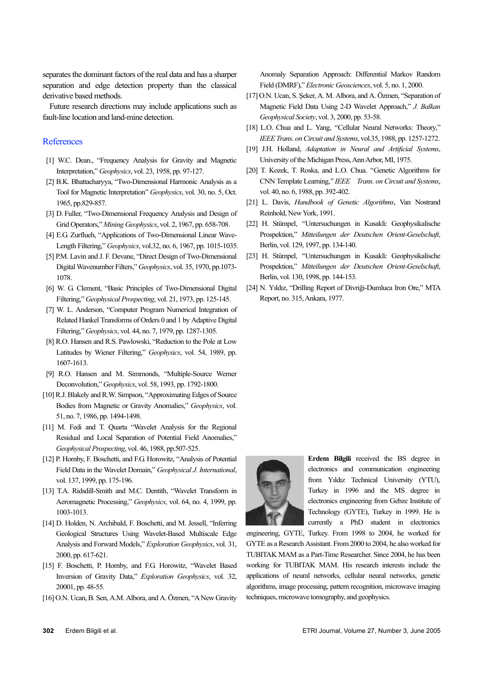separates the dominant factors of the real data and has a sharper separation and edge detection property than the classical derivative based methods.

Future research directions may include applications such as fault-line location and land-mine detection.

# **References**

- [1] W.C. Dean., "Frequency Analysis for Gravity and Magnetic Interpretation," *Geophysics*, vol. 23, 1958, pp. 97-127.
- [2] B.K. Bhattacharyya, "Two-Dimensional Harmonic Analysis as a Tool for Magnetic Interpretation" *Geophysics*, vol. 30, no. 5, Oct. 1965, pp.829-857.
- [3] D. Fuller, "Two-Dimensional Frequency Analysis and Design of Grid Operators," *Mining Geophysics*, vol. 2, 1967, pp. 658-708.
- [4] E.G. Zurflueh, "Applications of Two-Dimensional Linear Wave-Length Filtering," *Geophysics*, vol.32, no. 6, 1967, pp. 1015-1035.
- [5] P.M. Lavin and J. F. Devane, "Direct Design of Two-Dimensional Digital Wavenumber Filters," *Geophysics*, vol. 35, 1970, pp.1073- 1078.
- [6] W. G. Clement, "Basic Principles of Two-Dimensional Digital Filtering," *Geophysical Prospecting*, vol. 21, 1973, pp. 125-145.
- [7] W. L. Anderson, "Computer Program Numerical Integration of Related Hankel Transforms of Orders 0 and 1 by Adaptive Digital Filtering," *Geophysics*, vol. 44, no. 7, 1979, pp. 1287-1305.
- [8] R.O. Hansen and R.S. Pawlowski, "Reduction to the Pole at Low Latitudes by Wiener Filtering," *Geophysics*, vol. 54, 1989, pp. 1607-1613.
- [9] R.O. Hansen and M. Simmonds, "Multiple-Source Werner Deconvolution," *Geophysics*, vol. 58, 1993, pp. 1792-1800.
- [10] R.J. Blakely and R.W. Simpson, "Approximating Edges of Source Bodies from Magnetic or Gravity Anomalies," *Geophysics*, vol. 51, no. 7, 1986, pp. 1494-1498.
- [11] M. Fedi and T. Quarta "Wavelet Analysis for the Regional Residual and Local Separation of Potential Field Anomalies," *Geophysical Prospecting*, vol. 46, 1988, pp.507-525.
- [12] P. Hornby, F. Boschetti, and F.G. Horowitz, "Analysis of Potential Field Data in the Wavelet Domain," *Geophysical J. International*, vol. 137, 1999, pp. 175-196.
- [13] T.A. Ridsdill-Smith and M.C. Dentith, "Wavelet Transform in Aeromagnetic Processing," *Geophysics*, vol. 64, no. 4, 1999, pp. 1003-1013.
- [14] D. Holden, N. Archibald, F. Boschetti, and M. Jessell, "Inferring Geological Structures Using Wavelet-Based Multiscale Edge Analysis and Forward Models," *Exploration Geophysics*, vol. 31, 2000, pp. 617-621.
- [15] F. Boschetti, P. Hornby, and F.G. Horowitz, "Wavelet Based Inversion of Gravity Data," *Exploration Geophysics*, vol. 32, 20001, pp. 48-55.
- [16] O.N. Ucan, B. Sen, A.M. Albora, and A. Özmen, "A New Gravity

Anomaly Separation Approach: Differential Markov Random Field (DMRF)," *Electronic Geosciences*, vol. 5, no. 1, 2000.

- [17] O.N. Ucan, S. Seker, A. M. Albora, and A. Özmen, "Separation of Magnetic Field Data Using 2-D Wavelet Approach," *J. Balkan Geophysical Society*, vol. 3, 2000, pp. 53-58.
- [18] L.O. Chua and L. Yang, "Cellular Neural Networks: Theory," *IEEE Trans. on Circuit and Systems*, vol.35, 1988, pp. 1257-1272.
- [19] J.H. Holland, *Adaptation in Neural and Artificial Systems*, University of the Michigan Press, Ann Arbor, MI, 1975.
- [20] T. Kozek, T. Roska, and L.O. Chua. ''Genetic Algorithms for CNN Template Learning,'' *IEEE Trans. on Circuit and Systems*, vol. 40, no. 6, 1988, pp. 392-402.
- [21] L. Davis, *Handbook of Genetic Algorithms*, Van Nostrand Reinhold, New York, 1991.
- [22] H. Stümpel, ''Untersuchungen in Kusakli: Geophysikalische Prospektion," *Mitteilungen der Deutschen Orient-Geselschaft*, Berlin, vol. 129, 1997, pp. 134-140.
- [23] H. Stümpel, ''Untersuchungen in Kusakli: Geophysikalische Prospektion," *Mitteilungen der Deutschen Orient-Geselschaft*, Berlin, vol. 130, 1998, pp. 144-153.
- [24] N. Yıldız, "Drilling Report of Divriği-Dumluca Iron Ore," MTA Report, no. 315, Ankara, 1977.



**Erdem Bilgili** received the BS degree in electronics and communication engineering from Yıldız Technical University (YTU), Turkey in 1996 and the MS degree in electronics engineering from Gebze Institute of Technology (GYTE), Turkey in 1999. He is currently a PhD student in electronics

engineering, GYTE, Turkey. From 1998 to 2004, he worked for GYTE as a Research Assistant. From 2000 to 2004, he also worked for TUBITAK MAM as a Part-Time Researcher. Since 2004, he has been working for TUBITAK MAM. His research interests include the applications of neural networks, cellular neural networks, genetic algorithms, image processing, pattern recognition, microwave imaging techniques, microwave tomography, and geophysics.